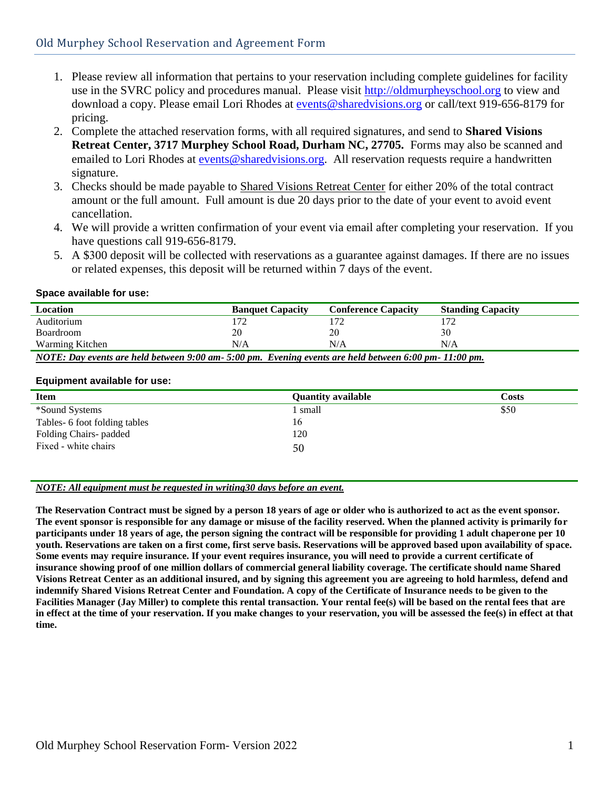- 1. Please review all information that pertains to your reservation including complete guidelines for facility use in the SVRC policy and procedures manual. Please visit [http://oldmurpheyschool.org](http://www.sharedvisions.org/svrc.html) to view and download a copy. Please email Lori Rhodes at [events@sharedvisions.org](mailto:events@sharedvisions.org) or call/text 919-656-8179 for pricing.
- 2. Complete the attached reservation forms, with all required signatures, and send to **Shared Visions Retreat Center, 3717 Murphey School Road, Durham NC, 27705.** Forms may also be scanned and emailed to Lori Rhodes at [events@sharedvisions.org.](mailto:events@sharedvisions.org) All reservation requests require a handwritten signature.
- 3. Checks should be made payable to Shared Visions Retreat Center for either 20% of the total contract amount or the full amount. Full amount is due 20 days prior to the date of your event to avoid event cancellation.
- 4. We will provide a written confirmation of your event via email after completing your reservation. If you have questions call 919-656-8179.
- 5. A \$300 deposit will be collected with reservations as a guarantee against damages. If there are no issues or related expenses, this deposit will be returned within 7 days of the event.

# **Space available for use:**

| Location                                                                                           | <b>Banquet Capacity</b> | <b>Conference Capacity</b> | <b>Standing Capacity</b> |
|----------------------------------------------------------------------------------------------------|-------------------------|----------------------------|--------------------------|
| Auditorium                                                                                         | '72                     |                            |                          |
| Boardroom                                                                                          | 20                      | 20                         | 30                       |
| Warming Kitchen                                                                                    | N/A                     | N/A                        | N/A                      |
| NOTE: Day events are held between 9:00 am-5:00 pm Evening events are held between 6:00 pm-11:00 pm |                         |                            |                          |

*NOTE: Day events are held between 9:00 am- 5:00 pm. Evening events are held between 6:00 pm- 11:00 pm.*

# **Equipment available for use:**

| <b>Item</b>                   | <b>Quantity available</b> | Costs |
|-------------------------------|---------------------------|-------|
| *Sound Systems                | l small                   | \$50  |
| Tables- 6 foot folding tables | 16                        |       |
| Folding Chairs-padded         | 120                       |       |
| Fixed - white chairs          | 50                        |       |

# *NOTE: All equipment must be requested in writing30 days before an event.*

**The Reservation Contract must be signed by a person 18 years of age or older who is authorized to act as the event sponsor. The event sponsor is responsible for any damage or misuse of the facility reserved. When the planned activity is primarily for participants under 18 years of age, the person signing the contract will be responsible for providing 1 adult chaperone per 10 youth. Reservations are taken on a first come, first serve basis. Reservations will be approved based upon availability of space. Some events may require insurance. If your event requires insurance, you will need to provide a current certificate of insurance showing proof of one million dollars of commercial general liability coverage. The certificate should name Shared Visions Retreat Center as an additional insured, and by signing this agreement you are agreeing to hold harmless, defend and indemnify Shared Visions Retreat Center and Foundation. A copy of the Certificate of Insurance needs to be given to the Facilities Manager (Jay Miller) to complete this rental transaction. Your rental fee(s) will be based on the rental fees that are in effect at the time of your reservation. If you make changes to your reservation, you will be assessed the fee(s) in effect at that time.**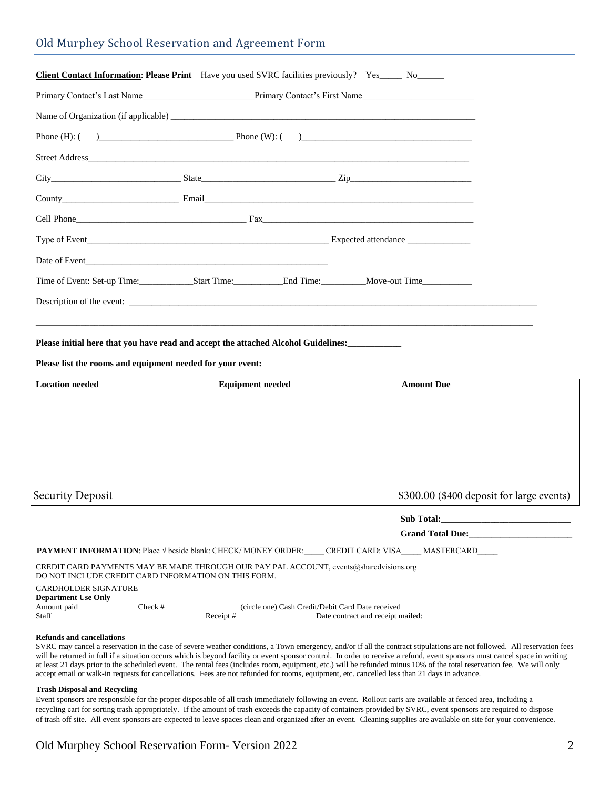|  | Old Murphey School Reservation and Agreement Form |  |
|--|---------------------------------------------------|--|
|  |                                                   |  |

| <b>Client Contact Information: Please Print</b> Have you used SVRC facilities previously? Yes_____ No______ |  |  |
|-------------------------------------------------------------------------------------------------------------|--|--|
|                                                                                                             |  |  |
|                                                                                                             |  |  |
|                                                                                                             |  |  |
|                                                                                                             |  |  |
|                                                                                                             |  |  |
|                                                                                                             |  |  |
|                                                                                                             |  |  |
|                                                                                                             |  |  |
|                                                                                                             |  |  |
| Time of Event: Set-up Time: Start Time: Start Time: Capacity and Time: Capacity Move-out Time               |  |  |
| Description of the event:                                                                                   |  |  |
|                                                                                                             |  |  |

**Please initial here that you have read and accept the attached Alcohol Guidelines:\_\_\_\_\_\_\_\_\_\_\_\_**

**Please list the rooms and equipment needed for your event:**

| <b>Location needed</b> | <b>Equipment needed</b> | <b>Amount Due</b>                         |
|------------------------|-------------------------|-------------------------------------------|
|                        |                         |                                           |
|                        |                         |                                           |
|                        |                         |                                           |
|                        |                         |                                           |
| Security Deposit       |                         | \$300.00 (\$400 deposit for large events) |

| Sub Total:                                                                                                                                                                                                                                                                                                                                                                                                             |  |
|------------------------------------------------------------------------------------------------------------------------------------------------------------------------------------------------------------------------------------------------------------------------------------------------------------------------------------------------------------------------------------------------------------------------|--|
| <b>PAYMENT INFORMATION:</b> Place V beside blank: CHECK/ MONEY ORDER: CREDIT CARD: VISA MASTERCARD                                                                                                                                                                                                                                                                                                                     |  |
| CREDIT CARD PAYMENTS MAY BE MADE THROUGH OUR PAY PAL ACCOUNT, events @sharedvisions.org<br>DO NOT INCLUDE CREDIT CARD INFORMATION ON THIS FORM.                                                                                                                                                                                                                                                                        |  |
| <b>CARDHOLDER SIGNATURE</b><br><b>Department Use Only</b><br>Amount paid Check #<br>(circle one) Cash Credit/Debit Card Date received<br>Receipt # Date contract and receipt mailed:<br>Staff in the state of the state of the state of the state of the state of the state of the state of the state of the state of the state of the state of the state of the state of the state of the state of the state of the s |  |

#### **Refunds and cancellations**

SVRC may cancel a reservation in the case of severe weather conditions, a Town emergency, and/or if all the contract stipulations are not followed. All reservation fees will be returned in full if a situation occurs which is beyond facility or event sponsor control. In order to receive a refund, event sponsors must cancel space in writing at least 21 days prior to the scheduled event. The rental fees (includes room, equipment, etc.) will be refunded minus 10% of the total reservation fee. We will only accept email or walk-in requests for cancellations. Fees are not refunded for rooms, equipment, etc. cancelled less than 21 days in advance.

## **Trash Disposal and Recycling**

Event sponsors are responsible for the proper disposable of all trash immediately following an event. Rollout carts are available at fenced area, including a recycling cart for sorting trash appropriately. If the amount of trash exceeds the capacity of containers provided by SVRC, event sponsors are required to dispose of trash off site. All event sponsors are expected to leave spaces clean and organized after an event. Cleaning supplies are available on site for your convenience.

# Old Murphey School Reservation Form- Version 2022 2